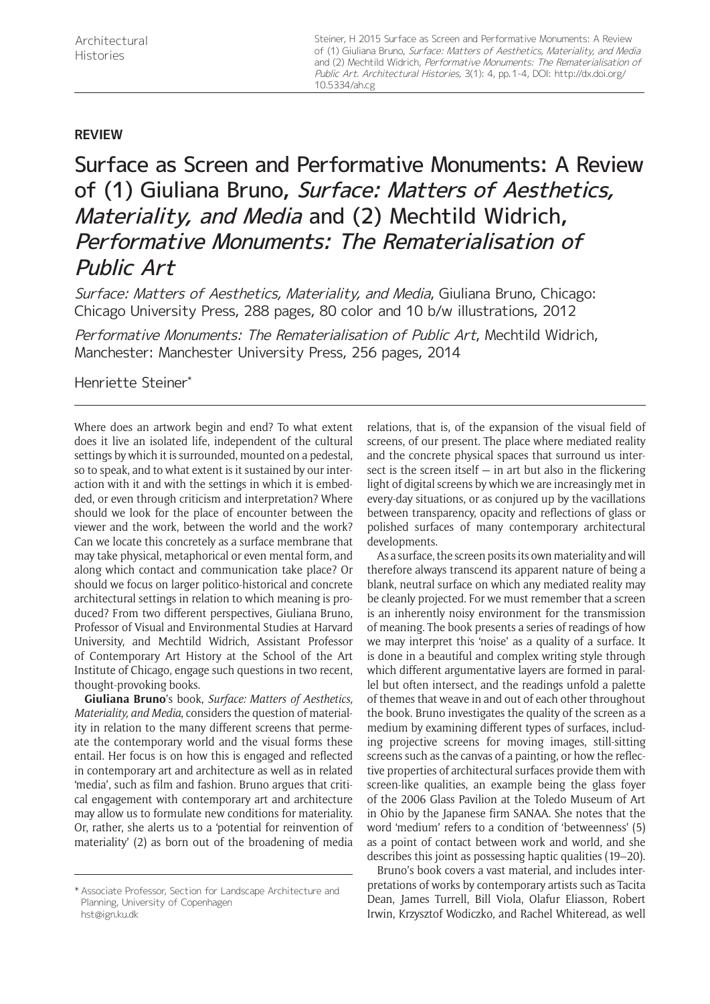Steiner, H 2015 Surface as Screen and Performative Monuments: A Review of (1) Giuliana Bruno, Surface: Matters of Aesthetics, Materiality, and Media and (2) Mechtild Widrich, Performative Monuments: The Rematerialisation of Public Art. Architectural Histories, 3(1): 4, pp. 1-4, DOI: [http://dx.doi.org/](http://dx.doi.org/10.5334/ah.cg) [10.5334/ah.cg](http://dx.doi.org/10.5334/ah.cg)

## **REVIEW**

Surface as Screen and Performative Monuments: A Review of (1) Giuliana Bruno, Surface: Matters of Aesthetics, Materiality, and Media and (2) Mechtild Widrich, Performative Monuments: The Rematerialisation of Public Art

Surface: Matters of Aesthetics, Materiality, and Media, Giuliana Bruno, Chicago: Chicago University Press, 288 pages, 80 color and 10 b/w illustrations, 2012

Performative Monuments: The Rematerialisation of Public Art, Mechtild Widrich, Manchester: Manchester University Press, 256 pages, 2014

Henriette Steiner\*

Where does an artwork begin and end? To what extent does it live an isolated life, independent of the cultural settings by which it is surrounded, mounted on a pedestal, so to speak, and to what extent is it sustained by our interaction with it and with the settings in which it is embedded, or even through criticism and interpretation? Where should we look for the place of encounter between the viewer and the work, between the world and the work? Can we locate this concretely as a surface membrane that may take physical, metaphorical or even mental form, and along which contact and communication take place? Or should we focus on larger politico-historical and concrete architectural settings in relation to which meaning is produced? From two different perspectives, Giuliana Bruno, Professor of Visual and Environmental Studies at Harvard University, and Mechtild Widrich, Assistant Professor of Contemporary Art History at the School of the Art Institute of Chicago, engage such questions in two recent, thought-provoking books.

**Giuliana Bruno**'s book, *Surface: Matters of Aesthetics, Materiality, and Media*, considers the question of materiality in relation to the many different screens that permeate the contemporary world and the visual forms these entail. Her focus is on how this is engaged and reflected in contemporary art and architecture as well as in related 'media', such as film and fashion. Bruno argues that critical engagement with contemporary art and architecture may allow us to formulate new conditions for materiality. Or, rather, she alerts us to a 'potential for reinvention of materiality' (2) as born out of the broadening of media

relations, that is, of the expansion of the visual field of screens, of our present. The place where mediated reality and the concrete physical spaces that surround us intersect is the screen itself  $-$  in art but also in the flickering light of digital screens by which we are increasingly met in every-day situations, or as conjured up by the vacillations between transparency, opacity and reflections of glass or polished surfaces of many contemporary architectural developments.

As a surface, the screen posits its own materiality and will therefore always transcend its apparent nature of being a blank, neutral surface on which any mediated reality may be cleanly projected. For we must remember that a screen is an inherently noisy environment for the transmission of meaning. The book presents a series of readings of how we may interpret this 'noise' as a quality of a surface. It is done in a beautiful and complex writing style through which different argumentative layers are formed in parallel but often intersect, and the readings unfold a palette of themes that weave in and out of each other throughout the book. Bruno investigates the quality of the screen as a medium by examining different types of surfaces, including projective screens for moving images, still-sitting screens such as the canvas of a painting, or how the reflective properties of architectural surfaces provide them with screen-like qualities, an example being the glass foyer of the 2006 Glass Pavilion at the Toledo Museum of Art in Ohio by the Japanese firm SANAA. She notes that the word 'medium' refers to a condition of 'betweenness' (5) as a point of contact between work and world, and she describes this joint as possessing haptic qualities (19–20).

Bruno's book covers a vast material, and includes interpretations of works by contemporary artists such as Tacita Dean, James Turrell, Bill Viola, Olafur Eliasson, Robert Irwin, Krzysztof Wodiczko, and Rachel Whiteread, as well

<sup>\*</sup> Associate Professor, Section for Landscape Architecture and Planning, University of Copenhagen [hst@ign.ku.dk](mailto:hst@ign.ku.dk)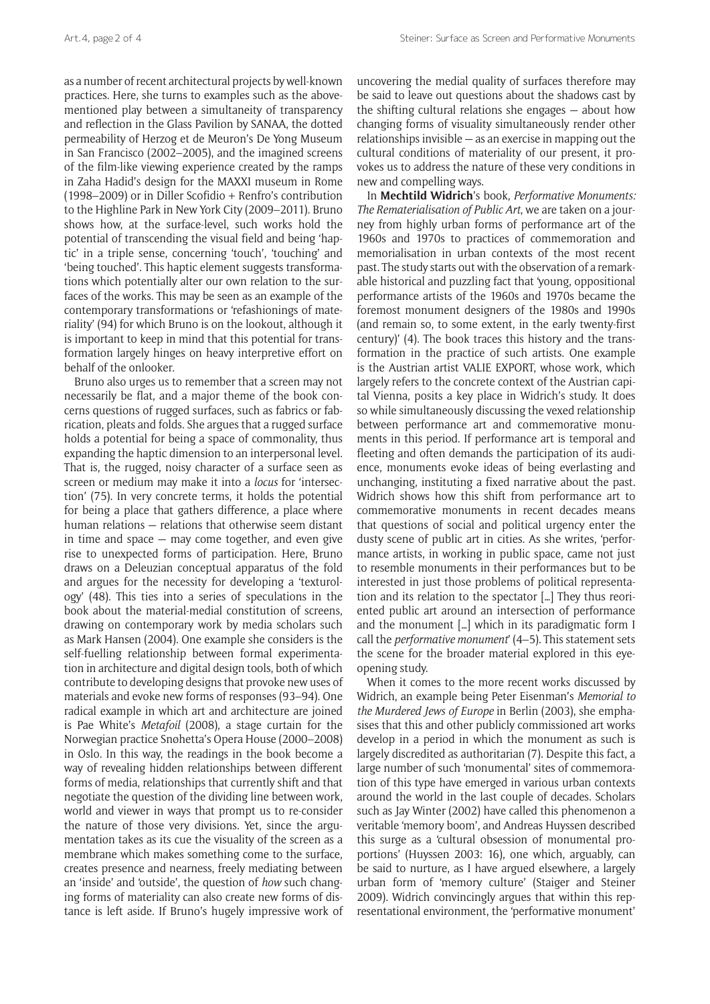as a number of recent architectural projects by well-known practices. Here, she turns to examples such as the abovementioned play between a simultaneity of transparency and reflection in the Glass Pavilion by SANAA, the dotted permeability of Herzog et de Meuron's De Yong Museum in San Francisco (2002–2005), and the imagined screens of the film-like viewing experience created by the ramps in Zaha Hadid's design for the MAXXI museum in Rome (1998–2009) or in Diller Scofidio + Renfro's contribution to the Highline Park in New York City (2009–2011). Bruno shows how, at the surface-level, such works hold the potential of transcending the visual field and being 'haptic' in a triple sense, concerning 'touch', 'touching' and 'being touched'. This haptic element suggests transformations which potentially alter our own relation to the surfaces of the works. This may be seen as an example of the contemporary transformations or 'refashionings of materiality' (94) for which Bruno is on the lookout, although it is important to keep in mind that this potential for transformation largely hinges on heavy interpretive effort on behalf of the onlooker.

Bruno also urges us to remember that a screen may not necessarily be flat, and a major theme of the book concerns questions of rugged surfaces, such as fabrics or fabrication, pleats and folds. She argues that a rugged surface holds a potential for being a space of commonality, thus expanding the haptic dimension to an interpersonal level. That is, the rugged, noisy character of a surface seen as screen or medium may make it into a *locus* for 'intersection' (75). In very concrete terms, it holds the potential for being a place that gathers difference, a place where human relations — relations that otherwise seem distant in time and space — may come together, and even give rise to unexpected forms of participation. Here, Bruno draws on a Deleuzian conceptual apparatus of the fold and argues for the necessity for developing a 'texturology' (48). This ties into a series of speculations in the book about the material-medial constitution of screens, drawing on contemporary work by media scholars such as Mark Hansen (2004). One example she considers is the self-fuelling relationship between formal experimentation in architecture and digital design tools, both of which contribute to developing designs that provoke new uses of materials and evoke new forms of responses (93–94). One radical example in which art and architecture are joined is Pae White's *Metafoil* (2008), a stage curtain for the Norwegian practice Snøhetta's Opera House (2000–2008) in Oslo. In this way, the readings in the book become a way of revealing hidden relationships between different forms of media, relationships that currently shift and that negotiate the question of the dividing line between work, world and viewer in ways that prompt us to re-consider the nature of those very divisions. Yet, since the argumentation takes as its cue the visuality of the screen as a membrane which makes something come to the surface, creates presence and nearness, freely mediating between an 'inside' and 'outside', the question of *how* such changing forms of materiality can also create new forms of distance is left aside. If Bruno's hugely impressive work of uncovering the medial quality of surfaces therefore may be said to leave out questions about the shadows cast by the shifting cultural relations she engages — about how changing forms of visuality simultaneously render other relationships invisible — as an exercise in mapping out the cultural conditions of materiality of our present, it provokes us to address the nature of these very conditions in new and compelling ways.

In **Mechtild Widrich**'s book, *Performative Monuments: The Rematerialisation of Public Art*, we are taken on a journey from highly urban forms of performance art of the 1960s and 1970s to practices of commemoration and memorialisation in urban contexts of the most recent past. The study starts out with the observation of a remarkable historical and puzzling fact that 'young, oppositional performance artists of the 1960s and 1970s became the foremost monument designers of the 1980s and 1990s (and remain so, to some extent, in the early twenty-first century)' (4). The book traces this history and the transformation in the practice of such artists. One example is the Austrian artist VALIE EXPORT, whose work, which largely refers to the concrete context of the Austrian capital Vienna, posits a key place in Widrich's study. It does so while simultaneously discussing the vexed relationship between performance art and commemorative monuments in this period. If performance art is temporal and fleeting and often demands the participation of its audience, monuments evoke ideas of being everlasting and unchanging, instituting a fixed narrative about the past. Widrich shows how this shift from performance art to commemorative monuments in recent decades means that questions of social and political urgency enter the dusty scene of public art in cities. As she writes, 'performance artists, in working in public space, came not just to resemble monuments in their performances but to be interested in just those problems of political representation and its relation to the spectator […] They thus reoriented public art around an intersection of performance and the monument […] which in its paradigmatic form I call the *performative monument*' (4–5). This statement sets the scene for the broader material explored in this eyeopening study.

When it comes to the more recent works discussed by Widrich, an example being Peter Eisenman's *Memorial to the Murdered Jews of Europe* in Berlin (2003), she emphasises that this and other publicly commissioned art works develop in a period in which the monument as such is largely discredited as authoritarian (7). Despite this fact, a large number of such 'monumental' sites of commemoration of this type have emerged in various urban contexts around the world in the last couple of decades. Scholars such as Jay Winter (2002) have called this phenomenon a veritable 'memory boom', and Andreas Huyssen described this surge as a 'cultural obsession of monumental proportions' (Huyssen 2003: 16), one which, arguably, can be said to nurture, as I have argued elsewhere, a largely urban form of 'memory culture' (Staiger and Steiner 2009). Widrich convincingly argues that within this representational environment, the 'performative monument'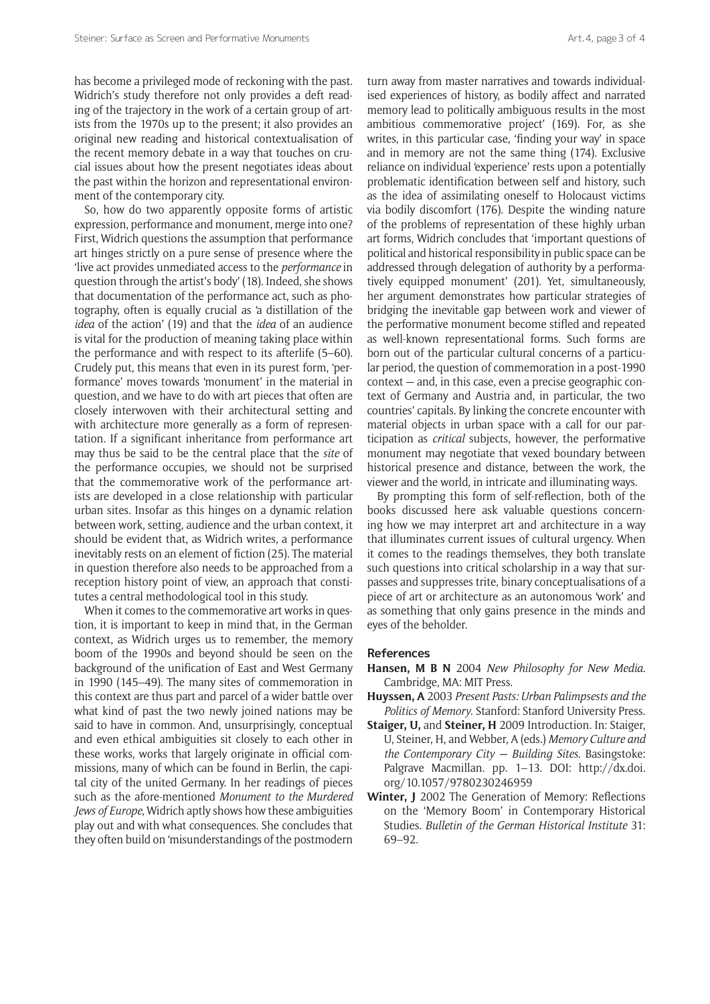has become a privileged mode of reckoning with the past. Widrich's study therefore not only provides a deft reading of the trajectory in the work of a certain group of artists from the 1970s up to the present; it also provides an original new reading and historical contextualisation of the recent memory debate in a way that touches on crucial issues about how the present negotiates ideas about the past within the horizon and representational environment of the contemporary city.

So, how do two apparently opposite forms of artistic expression, performance and monument, merge into one? First, Widrich questions the assumption that performance art hinges strictly on a pure sense of presence where the 'live act provides unmediated access to the *performance* in question through the artist's body' (18). Indeed, she shows that documentation of the performance act, such as photography, often is equally crucial as 'a distillation of the *idea* of the action' (19) and that the *idea* of an audience is vital for the production of meaning taking place within the performance and with respect to its afterlife (5–60). Crudely put, this means that even in its purest form, 'performance' moves towards 'monument' in the material in question, and we have to do with art pieces that often are closely interwoven with their architectural setting and with architecture more generally as a form of representation. If a significant inheritance from performance art may thus be said to be the central place that the *site* of the performance occupies, we should not be surprised that the commemorative work of the performance artists are developed in a close relationship with particular urban sites. Insofar as this hinges on a dynamic relation between work, setting, audience and the urban context, it should be evident that, as Widrich writes, a performance inevitably rests on an element of fiction (25). The material in question therefore also needs to be approached from a reception history point of view, an approach that constitutes a central methodological tool in this study.

When it comes to the commemorative art works in question, it is important to keep in mind that, in the German context, as Widrich urges us to remember, the memory boom of the 1990s and beyond should be seen on the background of the unification of East and West Germany in 1990 (145–49). The many sites of commemoration in this context are thus part and parcel of a wider battle over what kind of past the two newly joined nations may be said to have in common. And, unsurprisingly, conceptual and even ethical ambiguities sit closely to each other in these works, works that largely originate in official commissions, many of which can be found in Berlin, the capital city of the united Germany. In her readings of pieces such as the afore-mentioned *Monument to the Murdered Jews of Europe*, Widrich aptly shows how these ambiguities play out and with what consequences. She concludes that they often build on 'misunderstandings of the postmodern

turn away from master narratives and towards individualised experiences of history, as bodily affect and narrated memory lead to politically ambiguous results in the most ambitious commemorative project' (169). For, as she writes, in this particular case, 'finding your way' in space and in memory are not the same thing (174). Exclusive reliance on individual 'experience' rests upon a potentially problematic identification between self and history, such as the idea of assimilating oneself to Holocaust victims via bodily discomfort (176). Despite the winding nature of the problems of representation of these highly urban art forms, Widrich concludes that 'important questions of political and historical responsibility in public space can be addressed through delegation of authority by a performatively equipped monument' (201). Yet, simultaneously, her argument demonstrates how particular strategies of bridging the inevitable gap between work and viewer of the performative monument become stifled and repeated as well-known representational forms. Such forms are born out of the particular cultural concerns of a particular period, the question of commemoration in a post-1990 context — and, in this case, even a precise geographic context of Germany and Austria and, in particular, the two countries' capitals. By linking the concrete encounter with material objects in urban space with a call for our participation as *critical* subjects, however, the performative monument may negotiate that vexed boundary between historical presence and distance, between the work, the viewer and the world, in intricate and illuminating ways.

By prompting this form of self-reflection, both of the books discussed here ask valuable questions concerning how we may interpret art and architecture in a way that illuminates current issues of cultural urgency. When it comes to the readings themselves, they both translate such questions into critical scholarship in a way that surpasses and suppresses trite, binary conceptualisations of a piece of art or architecture as an autonomous 'work' and as something that only gains presence in the minds and eyes of the beholder.

## **References**

- **Hansen, M B N** 2004 *New Philosophy for New Media*. Cambridge, MA: MIT Press.
- **Huyssen, A** 2003 *Present Pasts: Urban Palimpsests and the Politics of Memory*. Stanford: Stanford University Press.
- **Staiger, U,** and **Steiner, H** 2009 Introduction. In: Staiger, U, Steiner, H, and Webber, A (eds.) *Memory Culture and the Contemporary City — Building Sites*. Basingstoke: Palgrave Macmillan. pp. 1–13. DOI: [http://dx.doi.](http://dx.doi.org/10.1057/9780230246959) [org/10.1057/9780230246959](http://dx.doi.org/10.1057/9780230246959)
- **Winter, J** 2002 The Generation of Memory: Reflections on the 'Memory Boom' in Contemporary Historical Studies. *Bulletin of the German Historical Institute* 31: 69–92.